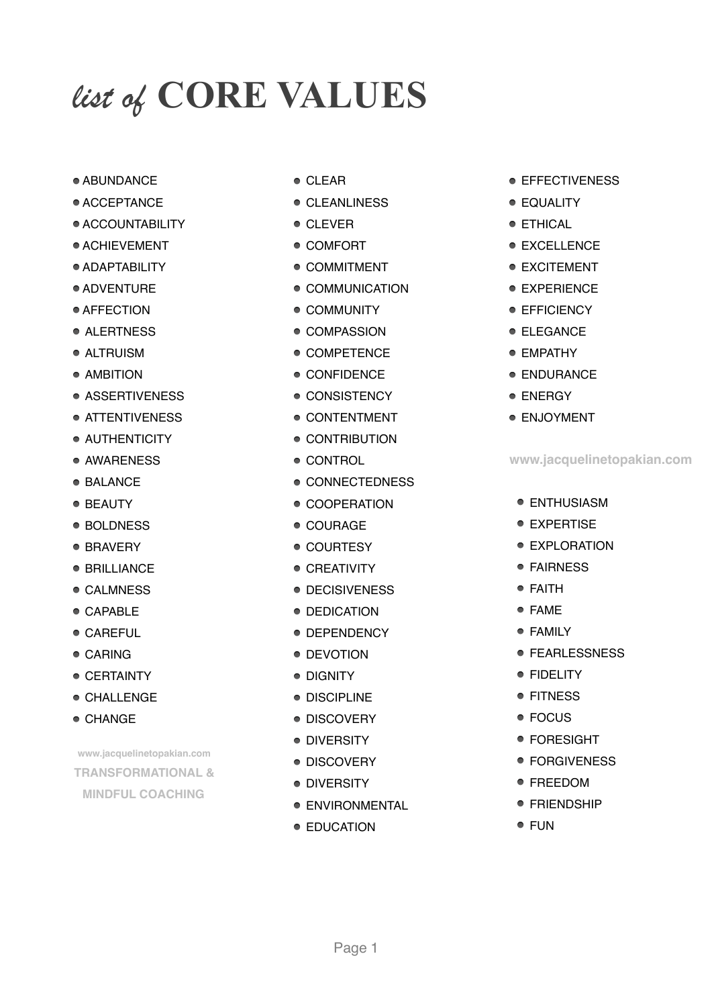# *list of* **CORE VALUES**

- ABUNDANCE
- ACCEPTANCE
- ACCOUNTABILITY
- $\bullet$  ACHIEVEMENT
- ADAPTABILITY
- ADVENTURE
- AFFECTION
- ALERTNESS
- ALTRUISM
- AMBITION
- ASSERTIVENESS
- **ATTENTIVENESS**
- **AUTHENTICITY**
- AWARENESS
- BALANCE
- BEAUTY
- BOLDNESS
- BRAVERY
- BRILLIANCE
- CALMNESS
- CAPABLE
- CAREFUL
- CARING
- **CERTAINTY**
- CHALLENGE
- CHANGE

**[www.jacquelinetopakian.com](http://www.jacquelinetopakian.com) TRANSFORMATIONAL & MINDFUL COACHING**

- CLEAR
- CLEANLINESS
- CLEVER
- COMFORT
- COMMITMENT
- COMMUNICATION
- **COMMUNITY**
- COMPASSION
- COMPETENCE
- CONFIDENCE
- **CONSISTENCY**
- CONTENTMENT
- CONTRIBUTION
- CONTROL
- CONNECTEDNESS
- COOPERATION
- COURAGE
- COURTESY
- **CREATIVITY**
- **DECISIVENESS**
- **DEDICATION**
- **DEPENDENCY**
- DEVOTION
- DIGNITY
- DISCIPLINE
- **DISCOVERY**
- **DIVERSITY**
- **DISCOVERY**
- **DIVERSITY**
- **ENVIRONMENTAL**
- **EDUCATION**
- EFFECTIVENESS
- EQUALITY
- ETHICAL
- EXCELLENCE
- EXCITEMENT
- EXPERIENCE
- **EFFICIENCY**
- ELEGANCE
- EMPATHY
- ENDURANCE
- **ENERGY**
- ENJOYMENT

### **www.jacquelinetopakian.com**

- **ENTHUSIASM**
- **EXPERTISE**
- $\bullet$  FXPI ORATION
- FAIRNESS
- FAITH
- FAME
- FAMILY
- **FEARLESSNESS**
- **FIDELITY**
- FITNESS
- FOCUS
- FORESIGHT
- FORGIVENESS
- FREEDOM
- FRIENDSHIP
- FUN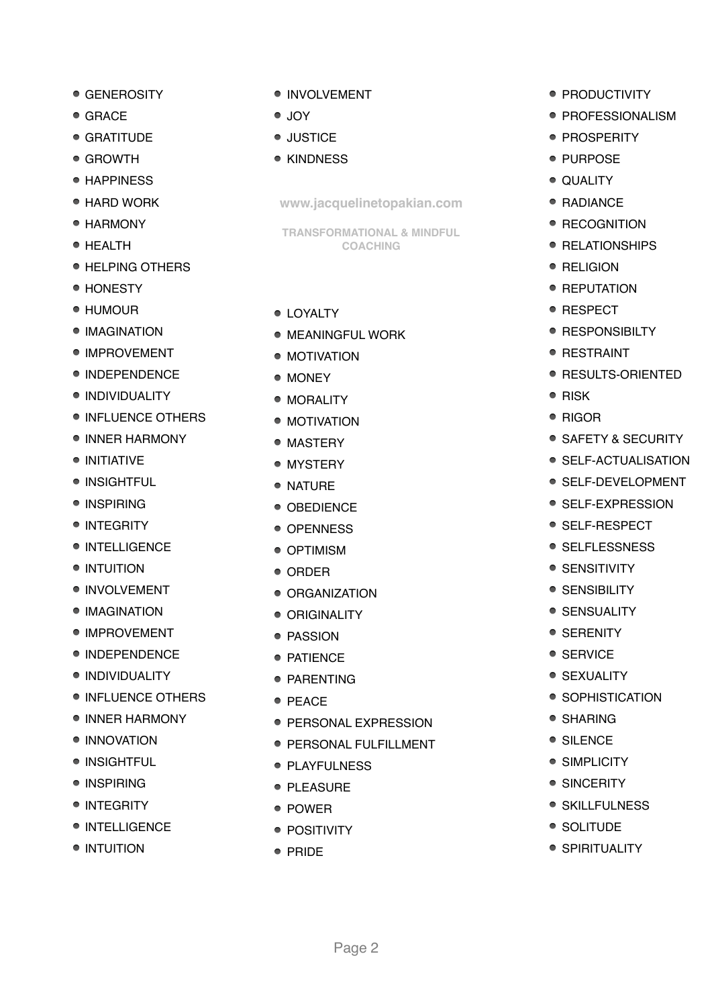- GENEROSITY
- GRACE
- GRATITUDE
- GROWTH
- HAPPINESS
- HARD WORK
- HARMONY
- HEALTH
- **HELPING OTHERS**
- HONESTY
- HUMOUR
- **IMAGINATION**
- IMPROVEMENT
- **INDEPENDENCE**
- **INDIVIDUALITY**
- **INFLUENCE OTHERS**
- **INNER HARMONY**
- INITIATIVE
- INSIGHTFUL
- INSPIRING
- INTEGRITY
- **INTELLIGENCE**
- INTUITION
- **INVOLVEMENT**
- **IMAGINATION**
- IMPROVEMENT
- **INDEPENDENCE**
- · INDIVIDUALITY
- **INFLUENCE OTHERS**
- INNER HARMONY
- · INNOVATION
- INSIGHTFUL
- INSPIRING
- INTEGRITY
- **INTELLIGENCE**
- INTUITION
- INVOLVEMENT
- JOY
- JUSTICE
- KINDNESS

**[www.jacquelinetopakian.com](http://www.jacquelinetopakian.com)**

**TRANSFORMATIONAL & MINDFUL COACHING**

- **LOYALTY**
- **MEANINGFUL WORK**
- MOTIVATION
- MONEY
- MORALITY
- MOTIVATION
- MASTERY
- MYSTERY
- $\bullet$  NATURE
- OBEDIENCE
- OPENNESS
- OPTIMISM
- ORDER
- ORGANIZATION
- ORIGINALITY
- PASSION
- PATIENCE
- PARENTING
- $\bullet$  PEACE
- **PERSONAL EXPRESSION**
- **PERSONAL FULFILLMENT**

Page 2

- PLAYFULNESS
- PLEASURE
- $\bullet$  POWER
- POSITIVITY
- $\bullet$  PRIDE
- PRODUCTIVITY
- PROFESSIONALISM
- PROSPERITY
- PURPOSE
- QUALITY
- RADIANCE
- RECOGNITION
- RELATIONSHIPS
- RELIGION
- REPUTATION
- $\bullet$  RESPECT
- RESPONSIBILTY
- **RESTRAINT**
- **RESULTS-ORIENTED**
- $\bullet$  RISK
- RIGOR
- SAFETY & SECURITY
- SELF-ACTUALISATION
- SELF-DEVELOPMENT
- SELF-EXPRESSION
- SELF-RESPECT
- SELFLESSNESS
- SENSITIVITY
- SENSIBILITY
- SENSUALITY
- SERENITY
- SERVICE
- SEXUALITY
- SOPHISTICATION
- SHARING
- SILENCE
- SIMPLICITY • SINCERITY

● SKILLFULNESS

• SOLITUDE **• SPIRITUALITY**